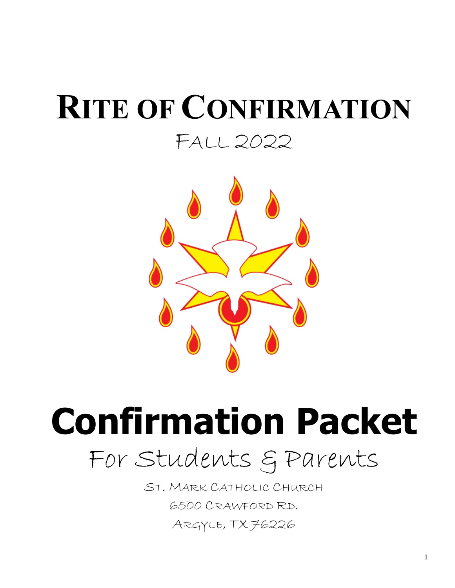# **RITE OF CONFIRMATION** FALL 2022



**Confirmation Packet** For Students & Parents

> ST. MARK CATHOLIC CHURCH 6500 CRAWFORD RD. ARGYLE, TX 76226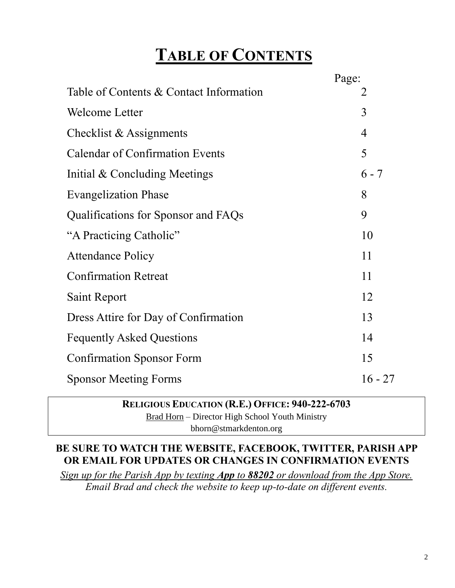# **TABLE OF CONTENTS**

|                                         | Page:          |
|-----------------------------------------|----------------|
| Table of Contents & Contact Information | 2              |
| Welcome Letter                          | 3              |
| Checklist & Assignments                 | $\overline{4}$ |
| <b>Calendar of Confirmation Events</b>  | 5              |
| Initial & Concluding Meetings           | $6 - 7$        |
| <b>Evangelization Phase</b>             | 8              |
| Qualifications for Sponsor and FAQs     | 9              |
| "A Practicing Catholic"                 | 10             |
| <b>Attendance Policy</b>                | 11             |
| <b>Confirmation Retreat</b>             | 11             |
| Saint Report                            | 12             |
| Dress Attire for Day of Confirmation    | 13             |
| <b>Fequently Asked Questions</b>        | 14             |
| <b>Confirmation Sponsor Form</b>        | 15             |
| <b>Sponsor Meeting Forms</b>            | $16 - 27$      |

#### **RELIGIOUS EDUCATION (R.E.) OFFICE: 940-222-6703**

Brad Horn – Director High School Youth Ministry bhorn@stmarkdenton.org

#### **BE SURE TO WATCH THE WEBSITE, FACEBOOK, TWITTER, PARISH APP OR EMAIL FOR UPDATES OR CHANGES IN CONFIRMATION EVENTS**

*Sign up for the Parish App by texting App to 88202 or download from the App Store. Email Brad and check the website to keep up-to-date on different events.*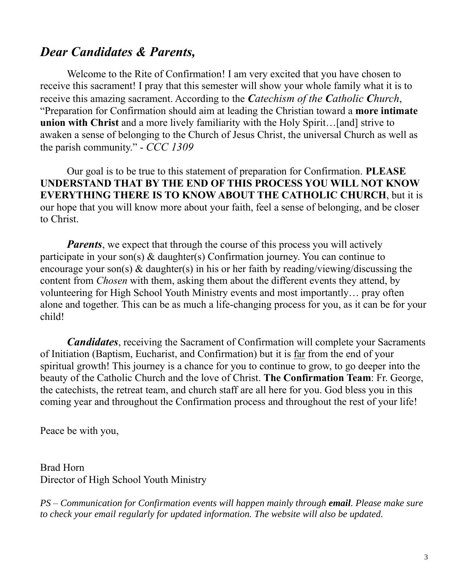### *Dear Candidates & Parents,*

Welcome to the Rite of Confirmation! I am very excited that you have chosen to receive this sacrament! I pray that this semester will show your whole family what it is to receive this amazing sacrament. According to the *Catechism of the Catholic Church*, "Preparation for Confirmation should aim at leading the Christian toward a **more intimate union with Christ** and a more lively familiarity with the Holy Spirit...[and] strive to awaken a sense of belonging to the Church of Jesus Christ, the universal Church as well as the parish community." - *CCC 1309*

Our goal is to be true to this statement of preparation for Confirmation. **PLEASE UNDERSTAND THAT BY THE END OF THIS PROCESS YOU WILL NOT KNOW EVERYTHING THERE IS TO KNOW ABOUT THE CATHOLIC CHURCH**, but it is our hope that you will know more about your faith, feel a sense of belonging, and be closer to Christ.

*Parents*, we expect that through the course of this process you will actively participate in your son(s) & daughter(s) Confirmation journey. You can continue to encourage your son(s)  $\&$  daughter(s) in his or her faith by reading/viewing/discussing the content from *Chosen* with them, asking them about the different events they attend, by volunteering for High School Youth Ministry events and most importantly… pray often alone and together. This can be as much a life-changing process for you, as it can be for your child!

*Candidates*, receiving the Sacrament of Confirmation will complete your Sacraments of Initiation (Baptism, Eucharist, and Confirmation) but it is far from the end of your spiritual growth! This journey is a chance for you to continue to grow, to go deeper into the beauty of the Catholic Church and the love of Christ. **The Confirmation Team**: Fr. George, the catechists, the retreat team, and church staff are all here for you. God bless you in this coming year and throughout the Confirmation process and throughout the rest of your life!

Peace be with you,

Brad Horn Director of High School Youth Ministry

*PS – Communication for Confirmation events will happen mainly through email. Please make sure*  to check your email regularly for updated information. The website will also be updated.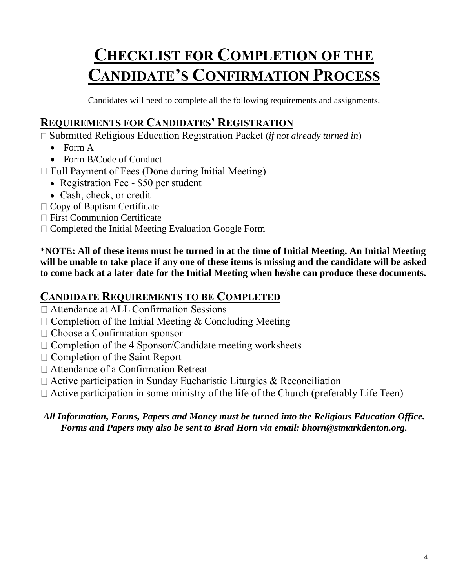# **CHECKLIST FOR COMPLETION OF THE CANDIDATE'S CONFIRMATION PROCESS**

Candidates will need to complete all the following requirements and assignments.

### **REQUIREMENTS FOR CANDIDATES' REGISTRATION**

Submitted Religious Education Registration Packet (*if not already turned in*)

- Form A
- Form B/Code of Conduct
- $\Box$  Full Payment of Fees (Done during Initial Meeting)
	- Registration Fee \$50 per student
	- Cash, check, or credit
- $\Box$  Copy of Baptism Certificate
- □ First Communion Certificate
- $\Box$  Completed the Initial Meeting Evaluation Google Form

**\*NOTE: All of these items must be turned in at the time of Initial Meeting. An Initial Meeting will be unable to take place if any one of these items is missing and the candidate will be asked to come back at a later date for the Initial Meeting when he/she can produce these documents.** 

### **CANDIDATE REQUIREMENTS TO BE COMPLETED**

- Attendance at ALL Confirmation Sessions
- $\Box$  Completion of the Initial Meeting & Concluding Meeting
- Choose a Confirmation sponsor
- $\Box$  Completion of the 4 Sponsor/Candidate meeting worksheets
- $\Box$  Completion of the Saint Report
- Attendance of a Confirmation Retreat
- $\Box$  Active participation in Sunday Eucharistic Liturgies & Reconciliation
- $\Box$  Active participation in some ministry of the life of the Church (preferably Life Teen)

#### *All Information, Forms, Papers and Money must be turned into the Religious Education Office. Forms and Papers may also be sent to Brad Horn via email: bhorn@stmarkdenton.org.*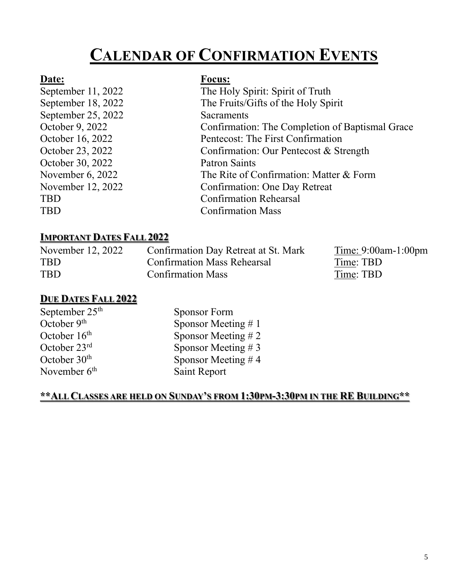# **CALENDAR OF CONFIRMATION EVENTS**

#### **Date: Focus:**

| September 11, 2022 | The Holy Spirit: Spirit of Truth                |
|--------------------|-------------------------------------------------|
| September 18, 2022 | The Fruits/Gifts of the Holy Spirit             |
| September 25, 2022 | Sacraments                                      |
| October 9, 2022    | Confirmation: The Completion of Baptismal Grace |
| October 16, 2022   | Pentecost: The First Confirmation               |
| October 23, 2022   | Confirmation: Our Pentecost & Strength          |
| October 30, 2022   | <b>Patron Saints</b>                            |
| November 6, 2022   | The Rite of Confirmation: Matter & Form         |
| November 12, 2022  | <b>Confirmation: One Day Retreat</b>            |
| <b>TBD</b>         | <b>Confirmation Rehearsal</b>                   |
| <b>TBD</b>         | <b>Confirmation Mass</b>                        |
|                    |                                                 |

#### **IMPORTANT DATES FALL 2022**

| November 12, 2022 | Confirmation Day Retreat at St. Mark | $Time: 9:00am-1:00pm$ |
|-------------------|--------------------------------------|-----------------------|
| <b>TBD</b>        | <b>Confirmation Mass Rehearsal</b>   | Time: TBD             |
| <b>TBD</b>        | <b>Confirmation Mass</b>             | Time: TBD             |

#### **DUE DATES FALL 2022**

| September $25th$         | <b>Sponsor Form</b>   |
|--------------------------|-----------------------|
| October $9th$            | Sponsor Meeting $# 1$ |
| October $16th$           | Sponsor Meeting $# 2$ |
| October $23rd$           | Sponsor Meeting $# 3$ |
| October $30th$           | Sponsor Meeting #4    |
| November 6 <sup>th</sup> | Saint Report          |
|                          |                       |

#### **\*\*ALL CLASSES ARE HELD ON SUNDAY'S FROM 1:30PM-3:30PM IN THE RE BUILDING\*\***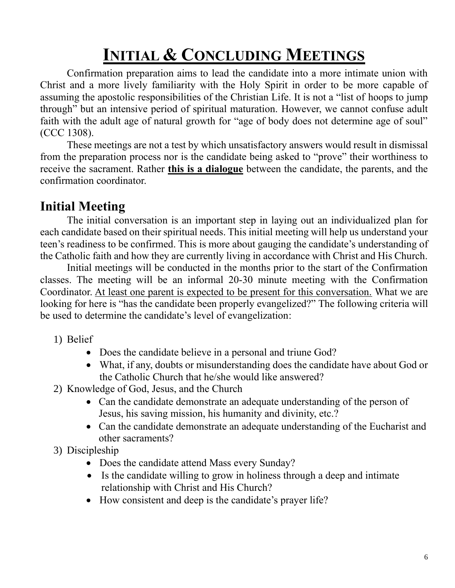# **INITIAL & CONCLUDING MEETINGS**

Confirmation preparation aims to lead the candidate into a more intimate union with Christ and a more lively familiarity with the Holy Spirit in order to be more capable of assuming the apostolic responsibilities of the Christian Life. It is not a "list of hoops to jump through" but an intensive period of spiritual maturation. However, we cannot confuse adult faith with the adult age of natural growth for "age of body does not determine age of soul" (CCC 1308).

These meetings are not a test by which unsatisfactory answers would result in dismissal from the preparation process nor is the candidate being asked to "prove" their worthiness to receive the sacrament. Rather **this is a dialogue** between the candidate, the parents, and the confirmation coordinator.

## **Initial Meeting**

The initial conversation is an important step in laying out an individualized plan for each candidate based on their spiritual needs. This initial meeting will help us understand your teen's readiness to be confirmed. This is more about gauging the candidate's understanding of the Catholic faith and how they are currently living in accordance with Christ and His Church.

Initial meetings will be conducted in the months prior to the start of the Confirmation classes. The meeting will be an informal 20-30 minute meeting with the Confirmation Coordinator. At least one parent is expected to be present for this conversation. What we are looking for here is "has the candidate been properly evangelized?" The following criteria will be used to determine the candidate's level of evangelization:

- 1) Belief
	- Does the candidate believe in a personal and triune God?
	- What, if any, doubts or misunderstanding does the candidate have about God or the Catholic Church that he/she would like answered?
- 2) Knowledge of God, Jesus, and the Church
	- Can the candidate demonstrate an adequate understanding of the person of Jesus, his saving mission, his humanity and divinity, etc.?
	- Can the candidate demonstrate an adequate understanding of the Eucharist and other sacraments?
- 3) Discipleship
	- Does the candidate attend Mass every Sunday?
	- Is the candidate willing to grow in holiness through a deep and intimate relationship with Christ and His Church?
	- How consistent and deep is the candidate's prayer life?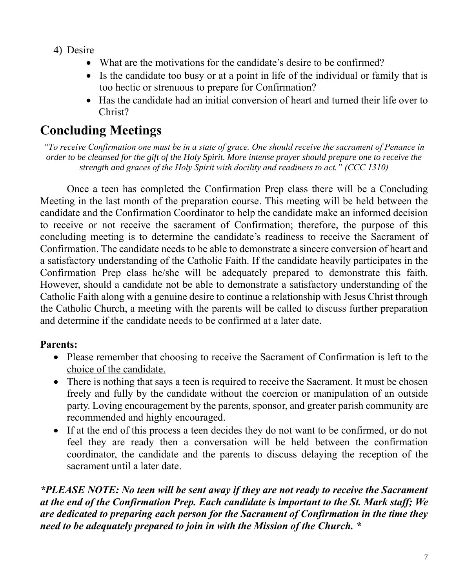- 4) Desire
	- What are the motivations for the candidate's desire to be confirmed?
	- Is the candidate too busy or at a point in life of the individual or family that is too hectic or strenuous to prepare for Confirmation?
	- Has the candidate had an initial conversion of heart and turned their life over to Christ?

## **Concluding Meetings**

*"To receive Confirmation one must be in a state of grace. One should receive the sacrament of Penance in order to be cleansed for the gift of the Holy Spirit. More intense prayer should prepare one to receive the strength and graces of the Holy Spirit with docility and readiness to act." (CCC 1310)*

Once a teen has completed the Confirmation Prep class there will be a Concluding Meeting in the last month of the preparation course. This meeting will be held between the candidate and the Confirmation Coordinator to help the candidate make an informed decision to receive or not receive the sacrament of Confirmation; therefore, the purpose of this concluding meeting is to determine the candidate's readiness to receive the Sacrament of Confirmation. The candidate needs to be able to demonstrate a sincere conversion of heart and a satisfactory understanding of the Catholic Faith. If the candidate heavily participates in the Confirmation Prep class he/she will be adequately prepared to demonstrate this faith. However, should a candidate not be able to demonstrate a satisfactory understanding of the Catholic Faith along with a genuine desire to continue a relationship with Jesus Christ through the Catholic Church, a meeting with the parents will be called to discuss further preparation and determine if the candidate needs to be confirmed at a later date.

### **Parents:**

- Please remember that choosing to receive the Sacrament of Confirmation is left to the choice of the candidate.
- There is nothing that says a teen is required to receive the Sacrament. It must be chosen freely and fully by the candidate without the coercion or manipulation of an outside party. Loving encouragement by the parents, sponsor, and greater parish community are recommended and highly encouraged.
- If at the end of this process a teen decides they do not want to be confirmed, or do not feel they are ready then a conversation will be held between the confirmation coordinator, the candidate and the parents to discuss delaying the reception of the sacrament until a later date.

*\*PLEASE NOTE: No teen will be sent away if they are not ready to receive the Sacrament at the end of the Confirmation Prep. Each candidate is important to the St. Mark staff; We are dedicated to preparing each person for the Sacrament of Confirmation in the time they need to be adequately prepared to join in with the Mission of the Church. \**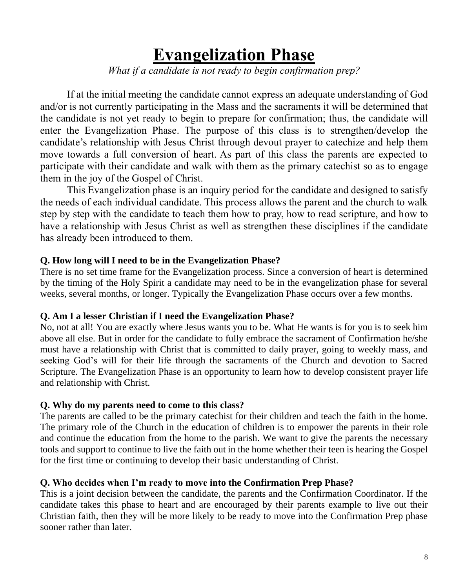# **Evangelization Phase**

*What if a candidate is not ready to begin confirmation prep?*

If at the initial meeting the candidate cannot express an adequate understanding of God and/or is not currently participating in the Mass and the sacraments it will be determined that the candidate is not yet ready to begin to prepare for confirmation; thus, the candidate will enter the Evangelization Phase. The purpose of this class is to strengthen/develop the candidate's relationship with Jesus Christ through devout prayer to catechize and help them move towards a full conversion of heart. As part of this class the parents are expected to participate with their candidate and walk with them as the primary catechist so as to engage them in the joy of the Gospel of Christ.

This Evangelization phase is an inquiry period for the candidate and designed to satisfy the needs of each individual candidate. This process allows the parent and the church to walk step by step with the candidate to teach them how to pray, how to read scripture, and how to have a relationship with Jesus Christ as well as strengthen these disciplines if the candidate has already been introduced to them.

#### **Q. How long will I need to be in the Evangelization Phase?**

There is no set time frame for the Evangelization process. Since a conversion of heart is determined by the timing of the Holy Spirit a candidate may need to be in the evangelization phase for several weeks, several months, or longer. Typically the Evangelization Phase occurs over a few months.

#### **Q. Am I a lesser Christian if I need the Evangelization Phase?**

No, not at all! You are exactly where Jesus wants you to be. What He wants is for you is to seek him above all else. But in order for the candidate to fully embrace the sacrament of Confirmation he/she must have a relationship with Christ that is committed to daily prayer, going to weekly mass, and seeking God's will for their life through the sacraments of the Church and devotion to Sacred Scripture. The Evangelization Phase is an opportunity to learn how to develop consistent prayer life and relationship with Christ.

#### **Q. Why do my parents need to come to this class?**

The parents are called to be the primary catechist for their children and teach the faith in the home. The primary role of the Church in the education of children is to empower the parents in their role and continue the education from the home to the parish. We want to give the parents the necessary tools and support to continue to live the faith out in the home whether their teen is hearing the Gospel for the first time or continuing to develop their basic understanding of Christ.

#### **Q. Who decides when I'm ready to move into the Confirmation Prep Phase?**

This is a joint decision between the candidate, the parents and the Confirmation Coordinator. If the candidate takes this phase to heart and are encouraged by their parents example to live out their Christian faith, then they will be more likely to be ready to move into the Confirmation Prep phase sooner rather than later.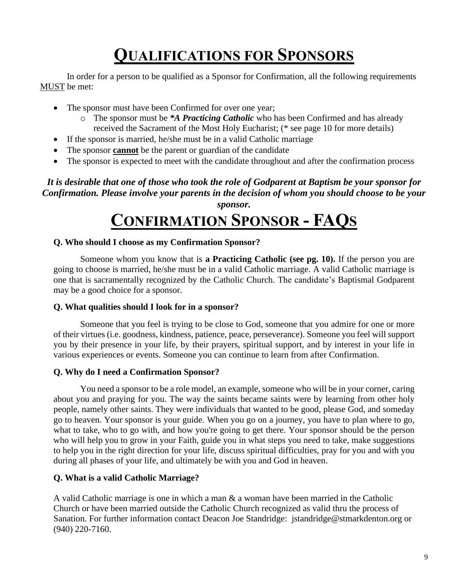# **QUALIFICATIONS FOR SPONSORS**

In order for a person to be qualified as a Sponsor for Confirmation, all the following requirements MUST be met:

- The sponsor must have been Confirmed for over one year;
	- o The sponsor must be *\*A Practicing Catholic* who has been Confirmed and has already received the Sacrament of the Most Holy Eucharist; (\* see page 10 for more details)
- If the sponsor is married, he/she must be in a valid Catholic marriage
- The sponsor **cannot** be the parent or guardian of the candidate
- The sponsor is expected to meet with the candidate throughout and after the confirmation process

*It is desirable that one of those who took the role of Godparent at Baptism be your sponsor for Confirmation. Please involve your parents in the decision of whom you should choose to be your sponsor.*

# **CONFIRMATION SPONSOR - FAQS**

#### **Q. Who should I choose as my Confirmation Sponsor?**

Someone whom you know that is **a Practicing Catholic (see pg. 10).** If the person you are going to choose is married, he/she must be in a valid Catholic marriage. A valid Catholic marriage is one that is sacramentally recognized by the Catholic Church. The candidate's Baptismal Godparent may be a good choice for a sponsor.

#### **Q. What qualities should I look for in a sponsor?**

Someone that you feel is trying to be close to God, someone that you admire for one or more of their virtues (i.e. goodness, kindness, patience, peace, perseverance). Someone you feel will support you by their presence in your life, by their prayers, spiritual support, and by interest in your life in various experiences or events. Someone you can continue to learn from after Confirmation.

#### **Q. Why do I need a Confirmation Sponsor?**

You need a sponsor to be a role model, an example, someone who will be in your corner, caring about you and praying for you. The way the saints became saints were by learning from other holy people, namely other saints. They were individuals that wanted to be good, please God, and someday go to heaven. Your sponsor is your guide. When you go on a journey, you have to plan where to go, what to take, who to go with, and how you're going to get there. Your sponsor should be the person who will help you to grow in your Faith, guide you in what steps you need to take, make suggestions to help you in the right direction for your life, discuss spiritual difficulties, pray for you and with you during all phases of your life, and ultimately be with you and God in heaven.

#### **Q. What is a valid Catholic Marriage?**

A valid Catholic marriage is one in which a man & a woman have been married in the Catholic Church or have been married outside the Catholic Church recognized as valid thru the process of Sanation. For further information contact Deacon Joe Standridge: jstandridge@stmarkdenton.org or (940) 220-7160.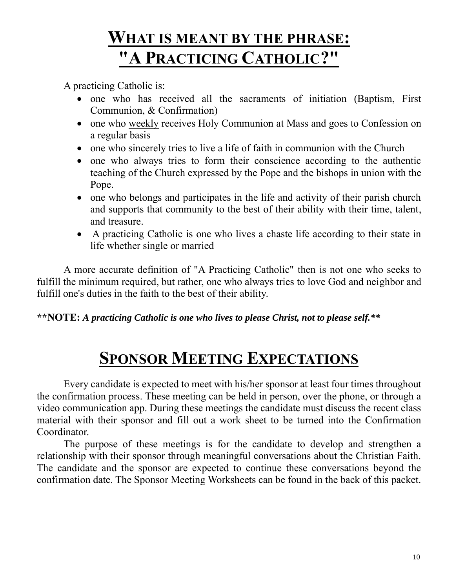# **WHAT IS MEANT BY THE PHRASE: "A PRACTICING CATHOLIC?"**

A practicing Catholic is:

- one who has received all the sacraments of initiation (Baptism, First Communion, & Confirmation)
- one who weekly receives Holy Communion at Mass and goes to Confession on a regular basis
- one who sincerely tries to live a life of faith in communion with the Church
- one who always tries to form their conscience according to the authentic teaching of the Church expressed by the Pope and the bishops in union with the Pope.
- one who belongs and participates in the life and activity of their parish church and supports that community to the best of their ability with their time, talent, and treasure.
- A practicing Catholic is one who lives a chaste life according to their state in life whether single or married

A more accurate definition of "A Practicing Catholic" then is not one who seeks to fulfill the minimum required, but rather, one who always tries to love God and neighbor and fulfill one's duties in the faith to the best of their ability.

#### **\*\*NOTE:** *A practicing Catholic is one who lives to please Christ, not to please self.\*\**

# **SPONSOR MEETING EXPECTATIONS**

Every candidate is expected to meet with his/her sponsor at least four times throughout the confirmation process. These meeting can be held in person, over the phone, or through a video communication app. During these meetings the candidate must discuss the recent class material with their sponsor and fill out a work sheet to be turned into the Confirmation Coordinator.

The purpose of these meetings is for the candidate to develop and strengthen a relationship with their sponsor through meaningful conversations about the Christian Faith. The candidate and the sponsor are expected to continue these conversations beyond the confirmation date. The Sponsor Meeting Worksheets can be found in the back of this packet.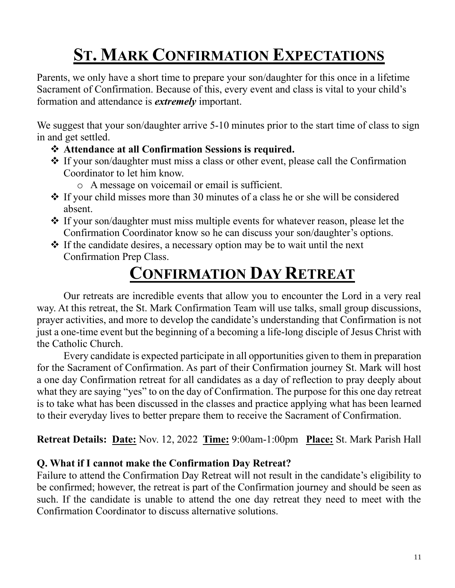# **ST. MARK CONFIRMATION EXPECTATIONS**

Parents, we only have a short time to prepare your son/daughter for this once in a lifetime Sacrament of Confirmation. Because of this, every event and class is vital to your child's formation and attendance is *extremely* important.

We suggest that your son/daughter arrive 5-10 minutes prior to the start time of class to sign in and get settled.

- ❖ **Attendance at all Confirmation Sessions is required.**
- ❖ If your son/daughter must miss a class or other event, please call the Confirmation Coordinator to let him know.
	- o A message on voicemail or email is sufficient.
- ❖ If your child misses more than 30 minutes of a class he or she will be considered absent.
- ❖ If your son/daughter must miss multiple events for whatever reason, please let the Confirmation Coordinator know so he can discuss your son/daughter's options.
- ❖ If the candidate desires, a necessary option may be to wait until the next Confirmation Prep Class.

# **CONFIRMATION DAY RETREAT**

Our retreats are incredible events that allow you to encounter the Lord in a very real way. At this retreat, the St. Mark Confirmation Team will use talks, small group discussions, prayer activities, and more to develop the candidate's understanding that Confirmation is not just a one-time event but the beginning of a becoming a life-long disciple of Jesus Christ with the Catholic Church.

Every candidate is expected participate in all opportunities given to them in preparation for the Sacrament of Confirmation. As part of their Confirmation journey St. Mark will host a one day Confirmation retreat for all candidates as a day of reflection to pray deeply about what they are saying "yes" to on the day of Confirmation. The purpose for this one day retreat is to take what has been discussed in the classes and practice applying what has been learned to their everyday lives to better prepare them to receive the Sacrament of Confirmation.

**Retreat Details: Date:** Nov. 12, 2022 **Time:** 9:00am-1:00pm **Place:** St. Mark Parish Hall

### **Q. What if I cannot make the Confirmation Day Retreat?**

Failure to attend the Confirmation Day Retreat will not result in the candidate's eligibility to be confirmed; however, the retreat is part of the Confirmation journey and should be seen as such. If the candidate is unable to attend the one day retreat they need to meet with the Confirmation Coordinator to discuss alternative solutions.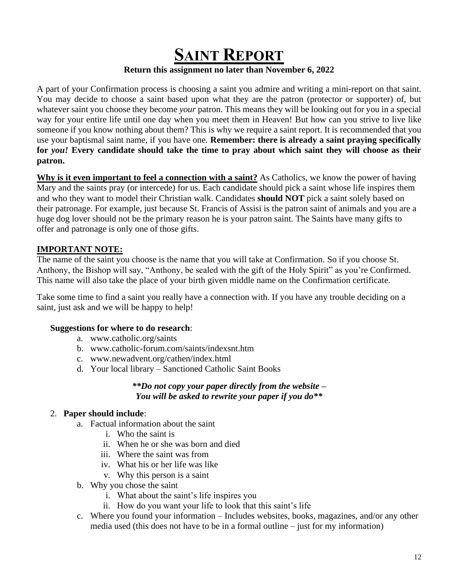### **SAINT REPORT Return this assignment no later than November 6, 2022**

A part of your Confirmation process is choosing a saint you admire and writing a mini-report on that saint. You may decide to choose a saint based upon what they are the patron (protector or supporter) of, but whatever saint you choose they become *your* patron. This means they will be looking out for you in a special way for your entire life until one day when you meet them in Heaven! But how can you strive to live like someone if you know nothing about them? This is why we require a saint report. It is recommended that you use your baptismal saint name, if you have one. **Remember: there is already a saint praying specifically for** *you!* **Every candidate should take the time to pray about which saint they will choose as their patron.**

**Why is it even important to feel a connection with a saint?** As Catholics, we know the power of having Mary and the saints pray (or intercede) for us. Each candidate should pick a saint whose life inspires them and who they want to model their Christian walk. Candidates **should NOT** pick a saint solely based on their patronage. For example, just because St. Francis of Assisi is the patron saint of animals and you are a huge dog lover should not be the primary reason he is your patron saint. The Saints have many gifts to offer and patronage is only one of those gifts.

#### **IMPORTANT NOTE:**

The name of the saint you choose is the name that you will take at Confirmation. So if you choose St. Anthony, the Bishop will say, "Anthony, be sealed with the gift of the Holy Spirit" as you're Confirmed. This name will also take the place of your birth given middle name on the Confirmation certificate.

Take some time to find a saint you really have a connection with. If you have any trouble deciding on a saint, just ask and we will be happy to help!

#### **Suggestions for where to do research**:

- a. www.catholic.org/saints
- b. www.catholic-forum.com/saints/indexsnt.htm
- c. www.newadvent.org/cathen/index.html
- d. Your local library Sanctioned Catholic Saint Books

#### *\*\*Do not copy your paper directly from the website – You will be asked to rewrite your paper if you do\*\**

#### 2. **Paper should include**:

- a. Factual information about the saint
	- i. Who the saint is
	- ii. When he or she was born and died
	- iii. Where the saint was from
	- iv. What his or her life was like
	- v. Why this person is a saint
- b. Why you chose the saint
	- i. What about the saint's life inspires you
	- ii. How do you want your life to look that this saint's life
- c. Where you found your information Includes websites, books, magazines, and/or any other media used (this does not have to be in a formal outline – just for my information)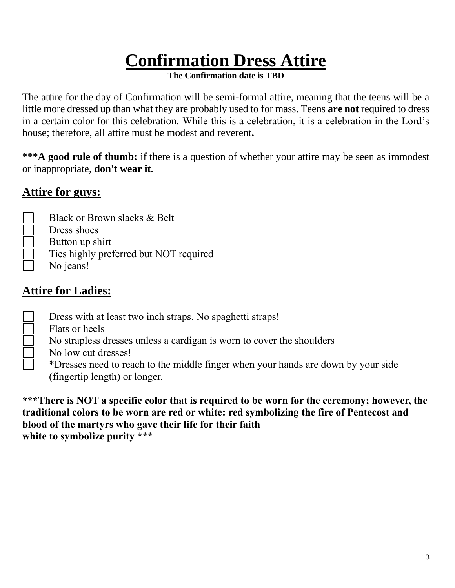# **Confirmation Dress Attire**

**The Confirmation date is TBD**

The attire for the day of Confirmation will be semi-formal attire, meaning that the teens will be a little more dressed up than what they are probably used to for mass. Teens **are not** required to dress in a certain color for this celebration. While this is a celebration, it is a celebration in the Lord's house; therefore, all attire must be modest and reverent**.** 

**\*\*\*A good rule of thumb:** if there is a question of whether your attire may be seen as immodest or inappropriate, **don't wear it.**

### **Attire for guys:**

- Black or Brown slacks & Belt
	- Dress shoes
- Button up shirt
- Ties highly preferred but NOT required
- No jeans!

### **Attire for Ladies:**

- Dress with at least two inch straps. No spaghetti straps!
- Flats or heels
	- No strapless dresses unless a cardigan is worn to cover the shoulders
	- No low cut dresses!
		- \*Dresses need to reach to the middle finger when your hands are down by your side (fingertip length) or longer.

**\*\*\*There is NOT a specific color that is required to be worn for the ceremony; however, the traditional colors to be worn are red or white: red symbolizing the fire of Pentecost and blood of the martyrs who gave their life for their faith white to symbolize purity \*\*\***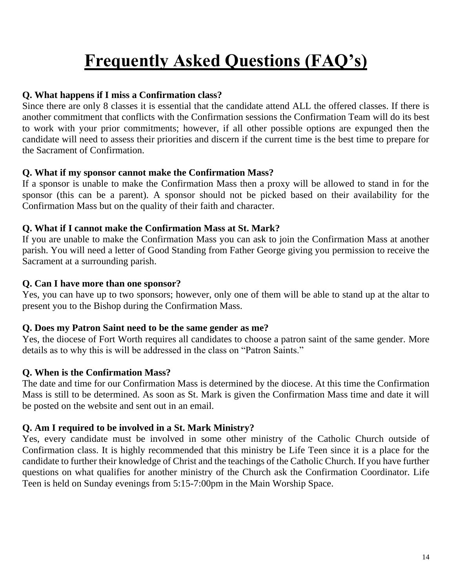# **Frequently Asked Questions (FAQ's)**

#### **Q. What happens if I miss a Confirmation class?**

Since there are only 8 classes it is essential that the candidate attend ALL the offered classes. If there is another commitment that conflicts with the Confirmation sessions the Confirmation Team will do its best to work with your prior commitments; however, if all other possible options are expunged then the candidate will need to assess their priorities and discern if the current time is the best time to prepare for the Sacrament of Confirmation.

#### **Q. What if my sponsor cannot make the Confirmation Mass?**

If a sponsor is unable to make the Confirmation Mass then a proxy will be allowed to stand in for the sponsor (this can be a parent). A sponsor should not be picked based on their availability for the Confirmation Mass but on the quality of their faith and character.

#### **Q. What if I cannot make the Confirmation Mass at St. Mark?**

If you are unable to make the Confirmation Mass you can ask to join the Confirmation Mass at another parish. You will need a letter of Good Standing from Father George giving you permission to receive the Sacrament at a surrounding parish.

#### **Q. Can I have more than one sponsor?**

Yes, you can have up to two sponsors; however, only one of them will be able to stand up at the altar to present you to the Bishop during the Confirmation Mass.

#### **Q. Does my Patron Saint need to be the same gender as me?**

Yes, the diocese of Fort Worth requires all candidates to choose a patron saint of the same gender. More details as to why this is will be addressed in the class on "Patron Saints."

#### **Q. When is the Confirmation Mass?**

The date and time for our Confirmation Mass is determined by the diocese. At this time the Confirmation Mass is still to be determined. As soon as St. Mark is given the Confirmation Mass time and date it will be posted on the website and sent out in an email.

#### **Q. Am I required to be involved in a St. Mark Ministry?**

Yes, every candidate must be involved in some other ministry of the Catholic Church outside of Confirmation class. It is highly recommended that this ministry be Life Teen since it is a place for the candidate to further their knowledge of Christ and the teachings of the Catholic Church. If you have further questions on what qualifies for another ministry of the Church ask the Confirmation Coordinator. Life Teen is held on Sunday evenings from 5:15-7:00pm in the Main Worship Space.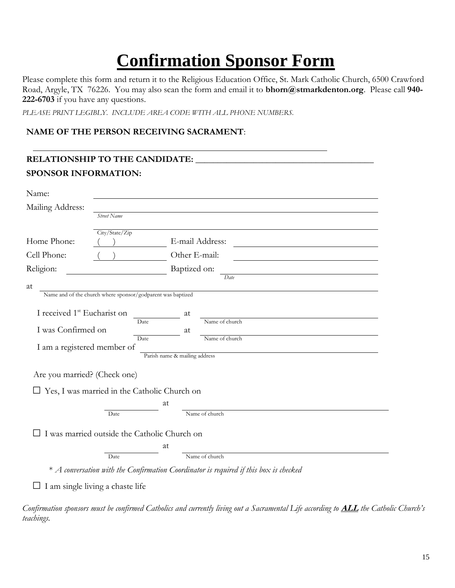# **Confirmation Sponsor Form**

Please complete this form and return it to the Religious Education Office, St. Mark Catholic Church, 6500 Crawford Road, Argyle, TX 76226. You may also scan the form and email it to **bhorn@stmarkdenton.org**. Please call **940- 222-6703** if you have any questions.

*PLEASE PRINT LEGIBLY. INCLUDE AREA CODE WITH ALL PHONE NUMBERS.*

#### **NAME OF THE PERSON RECEIVING SACRAMENT**:

|                                                                                                            |                                                             | RELATIONSHIP TO THE CANDIDATE:                                                          |  |  |
|------------------------------------------------------------------------------------------------------------|-------------------------------------------------------------|-----------------------------------------------------------------------------------------|--|--|
| <b>SPONSOR INFORMATION:</b>                                                                                |                                                             |                                                                                         |  |  |
| Name:<br>Mailing Address:                                                                                  | Street Name                                                 |                                                                                         |  |  |
| Home Phone:                                                                                                | City/State/Zip                                              | E-mail Address:                                                                         |  |  |
| Cell Phone:                                                                                                |                                                             | Other E-mail:                                                                           |  |  |
| Religion:                                                                                                  |                                                             | Baptized on:                                                                            |  |  |
| at                                                                                                         | Name and of the church where sponsor/godparent was baptized | Date                                                                                    |  |  |
| I received 1 <sup>st</sup> Eucharist on<br>at<br>Name of church<br><b>Date</b><br>I was Confirmed on<br>at |                                                             |                                                                                         |  |  |
| Name of church<br><b>Date</b><br>I am a registered member of<br>Parish name & mailing address              |                                                             |                                                                                         |  |  |
| Are you married? (Check one)                                                                               |                                                             |                                                                                         |  |  |
|                                                                                                            | $\Box$ Yes, I was married in the Catholic Church on         |                                                                                         |  |  |
|                                                                                                            |                                                             | at                                                                                      |  |  |
|                                                                                                            | Date                                                        | Name of church                                                                          |  |  |
|                                                                                                            | I was married outside the Catholic Church on                |                                                                                         |  |  |
|                                                                                                            |                                                             | at                                                                                      |  |  |
|                                                                                                            | Date                                                        | Name of church                                                                          |  |  |
|                                                                                                            |                                                             | $*$ A conversation with the Confirmation Coordinator is required if this box is checked |  |  |
|                                                                                                            | I am single living a chaste life                            |                                                                                         |  |  |

*Confirmation sponsors must be confirmed Catholics and currently living out a Sacramental Life according to* **ALL** *the Catholic Church's teachings.*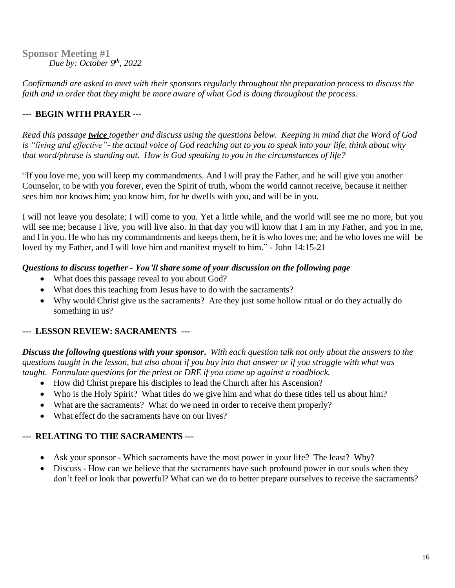**Sponsor Meeting #1** *Due by: October 9 th, 2022*

*Confirmandi are asked to meet with their sponsors regularly throughout the preparation process to discuss the faith and in order that they might be more aware of what God is doing throughout the process.*

#### **--- BEGIN WITH PRAYER ---**

Read this passage *twice* together and discuss using the questions below. Keeping in mind that the Word of God is "living and effective"- the actual voice of God reaching out to you to speak into your life, think about why *that word/phrase is standing out. How is God speaking to you in the circumstances of life?*

"If you love me, you will keep my commandments. And I will pray the Father, and he will give you another Counselor, to be with you forever, even the Spirit of truth, whom the world cannot receive, because it neither sees him nor knows him; you know him, for he dwells with you, and will be in you.

I will not leave you desolate; I will come to you. Yet a little while, and the world will see me no more, but you will see me; because I live, you will live also. In that day you will know that I am in my Father, and you in me, and I in you. He who has my commandments and keeps them, he it is who loves me; and he who loves me will be loved by my Father, and I will love him and manifest myself to him." - John 14:15-21

#### *Questions to discuss together - You'll share some of your discussion on the following page*

- What does this passage reveal to you about God?
- What does this teaching from Jesus have to do with the sacraments?
- Why would Christ give us the sacraments? Are they just some hollow ritual or do they actually do something in us?

#### **--- LESSON REVIEW: SACRAMENTS ---**

**Discuss the following questions with your sponsor.** With each question talk not only about the answers to the questions taught in the lesson, but also about if you buy into that answer or if you struggle with what was *taught. Formulate questions for the priest or DRE if you come up against a roadblock.*

- How did Christ prepare his disciples to lead the Church after his Ascension?
- Who is the Holy Spirit? What titles do we give him and what do these titles tell us about him?
- What are the sacraments? What do we need in order to receive them properly?
- What effect do the sacraments have on our lives?

#### **--- RELATING TO THE SACRAMENTS ---**

- Ask your sponsor Which sacraments have the most power in your life? The least? Why?
- Discuss How can we believe that the sacraments have such profound power in our souls when they don't feel or look that powerful? What can we do to better prepare ourselves to receive the sacraments?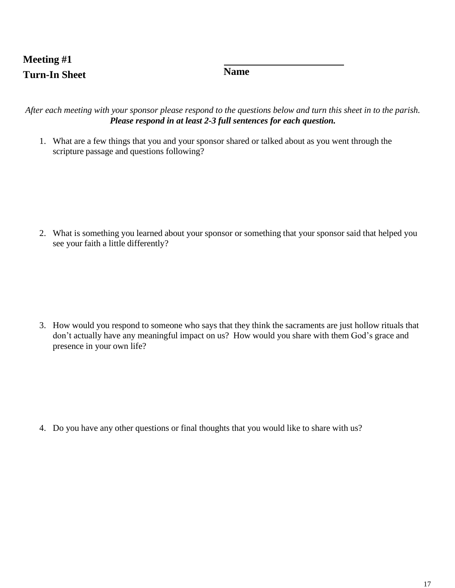### **Meeting #1 Turn-In Sheet Name**

After each meeting with your sponsor please respond to the questions below and turn this sheet in to the parish. *Please respond in at least 2-3 full sentences for each question.*

1. What are a few things that you and your sponsor shared or talked about as you went through the scripture passage and questions following?

2. What is something you learned about your sponsor or something that your sponsor said that helped you see your faith a little differently?

3. How would you respond to someone who says that they think the sacraments are just hollow rituals that don't actually have any meaningful impact on us? How would you share with them God's grace and presence in your own life?

4. Do you have any other questions or final thoughts that you would like to share with us?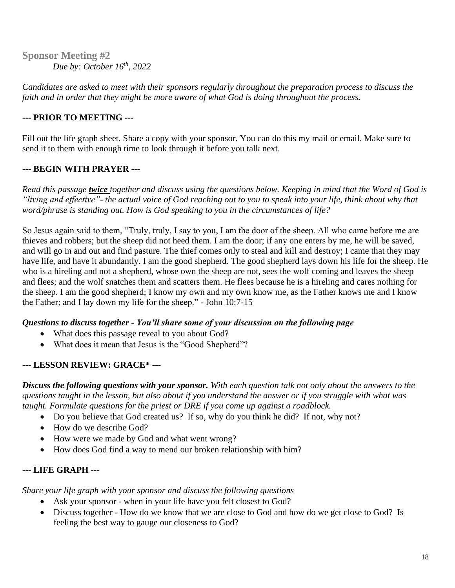**Sponsor Meeting #2** *Due by: October 16 th, 2022*

*Candidates are asked to meet with their sponsors regularly throughout the preparation process to discuss the faith and in order that they might be more aware of what God is doing throughout the process.*

#### **--- PRIOR TO MEETING ---**

Fill out the life graph sheet. Share a copy with your sponsor. You can do this my mail or email. Make sure to send it to them with enough time to look through it before you talk next.

#### **--- BEGIN WITH PRAYER ---**

*Read this passage twice together and discuss using the questions below. Keeping in mind that the Word of God is "living and effective"- the actual voice of God reaching out to you to speak into your life, think about why that word/phrase is standing out. How is God speaking to you in the circumstances of life?*

So Jesus again said to them, "Truly, truly, I say to you, I am the door of the sheep. All who came before me are thieves and robbers; but the sheep did not heed them. I am the door; if any one enters by me, he will be saved, and will go in and out and find pasture. The thief comes only to steal and kill and destroy; I came that they may have life, and have it abundantly. I am the good shepherd. The good shepherd lays down his life for the sheep. He who is a hireling and not a shepherd, whose own the sheep are not, sees the wolf coming and leaves the sheep and flees; and the wolf snatches them and scatters them. He flees because he is a hireling and cares nothing for the sheep. I am the good shepherd; I know my own and my own know me, as the Father knows me and I know the Father; and I lay down my life for the sheep." - John 10:7-15

#### *Questions to discuss together - You'll share some of your discussion on the following page*

- What does this passage reveal to you about God?
- What does it mean that Jesus is the "Good Shepherd"?

#### **--- LESSON REVIEW: GRACE\* ---**

*Discuss the following questions with your sponsor. With each question talk not only about the answers to the questions taught in the lesson, but also about if you understand the answer or if you struggle with what was taught. Formulate questions for the priest or DRE if you come up against a roadblock.*

- Do you believe that God created us? If so, why do you think he did? If not, why not?
- How do we describe God?
- How were we made by God and what went wrong?
- How does God find a way to mend our broken relationship with him?

#### **--- LIFE GRAPH ---**

*Share your life graph with your sponsor and discuss the following questions*

- Ask your sponsor when in your life have you felt closest to God?
- Discuss together How do we know that we are close to God and how do we get close to God? Is feeling the best way to gauge our closeness to God?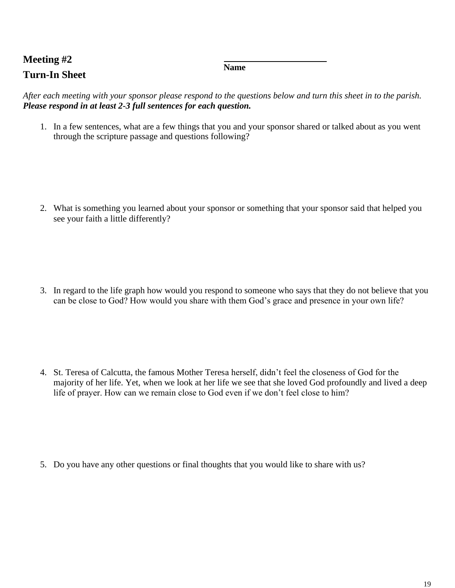### **Meeting #2 Turn-In Sheet**

**Name**

*After each meeting with your sponsor please respond to the questions below and turn this sheet in to the parish. Please respond in at least 2-3 full sentences for each question.*

1. In a few sentences, what are a few things that you and your sponsor shared or talked about as you went through the scripture passage and questions following?

2. What is something you learned about your sponsor or something that your sponsor said that helped you see your faith a little differently?

3. In regard to the life graph how would you respond to someone who says that they do not believe that you can be close to God? How would you share with them God's grace and presence in your own life?

4. St. Teresa of Calcutta, the famous Mother Teresa herself, didn't feel the closeness of God for the majority of her life. Yet, when we look at her life we see that she loved God profoundly and lived a deep life of prayer. How can we remain close to God even if we don't feel close to him?

5. Do you have any other questions or final thoughts that you would like to share with us?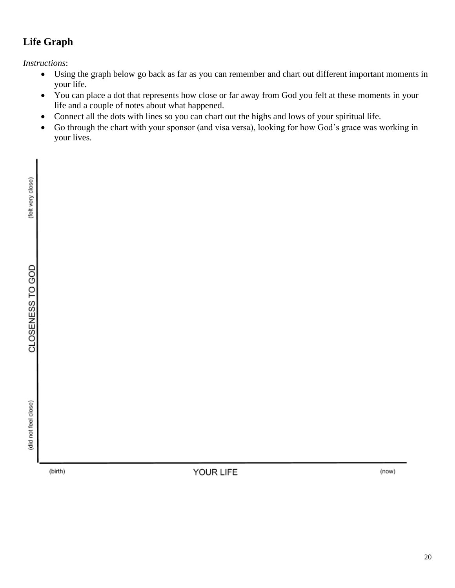### **Life Graph**

*Instructions*:

- Using the graph below go back as far as you can remember and chart out different important moments in your life.
- You can place a dot that represents how close or far away from God you felt at these moments in your life and a couple of notes about what happened.
- Connect all the dots with lines so you can chart out the highs and lows of your spiritual life.
- Go through the chart with your sponsor (and visa versa), looking for how God's grace was working in your lives.

(did not feel close)

(birth)

YOUR LIFE

(now)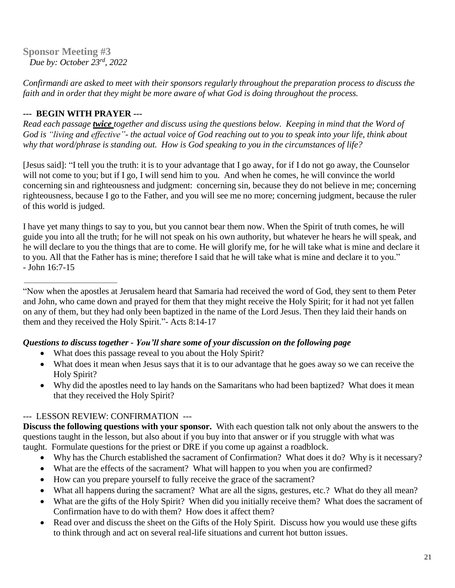**Sponsor Meeting #3**  *Due by: October 23rd, 2022*

*Confirmandi are asked to meet with their sponsors regularly throughout the preparation process to discuss the faith and in order that they might be more aware of what God is doing throughout the process.*

#### **--- BEGIN WITH PRAYER ---**

Read each passage twice together and discuss using the questions below. Keeping in mind that the Word of God is "living and effective"- the actual voice of God reaching out to you to speak into your life, think about *why that word/phrase is standing out. How is God speaking to you in the circumstances of life?*

[Jesus said]: "I tell you the truth: it is to your advantage that I go away, for if I do not go away, the Counselor will not come to you; but if I go, I will send him to you. And when he comes, he will convince the world concerning sin and righteousness and judgment: concerning sin, because they do not believe in me; concerning righteousness, because I go to the Father, and you will see me no more; concerning judgment, because the ruler of this world is judged.

I have yet many things to say to you, but you cannot bear them now. When the Spirit of truth comes, he will guide you into all the truth; for he will not speak on his own authority, but whatever he hears he will speak, and he will declare to you the things that are to come. He will glorify me, for he will take what is mine and declare it to you. All that the Father has is mine; therefore I said that he will take what is mine and declare it to you." - John 16:7-15

"Now when the apostles at Jerusalem heard that Samaria had received the word of God, they sent to them Peter and John, who came down and prayed for them that they might receive the Holy Spirit; for it had not yet fallen on any of them, but they had only been baptized in the name of the Lord Jesus. Then they laid their hands on them and they received the Holy Spirit."- Acts 8:14-17

#### *Questions to discuss together - You'll share some of your discussion on the following page*

- What does this passage reveal to you about the Holy Spirit?
- What does it mean when Jesus says that it is to our advantage that he goes away so we can receive the Holy Spirit?
- Why did the apostles need to lay hands on the Samaritans who had been baptized? What does it mean that they received the Holy Spirit?

#### --- LESSON REVIEW: CONFIRMATION ---

**Discuss the following questions with your sponsor.** With each question talk not only about the answers to the questions taught in the lesson, but also about if you buy into that answer or if you struggle with what was taught. Formulate questions for the priest or DRE if you come up against a roadblock.

- Why has the Church established the sacrament of Confirmation? What does it do? Why is it necessary?
- What are the effects of the sacrament? What will happen to you when you are confirmed?
- How can you prepare yourself to fully receive the grace of the sacrament?
- What all happens during the sacrament? What are all the signs, gestures, etc.? What do they all mean?
- What are the gifts of the Holy Spirit? When did you initially receive them? What does the sacrament of Confirmation have to do with them? How does it affect them?
- Read over and discuss the sheet on the Gifts of the Holy Spirit. Discuss how you would use these gifts to think through and act on several real-life situations and current hot button issues.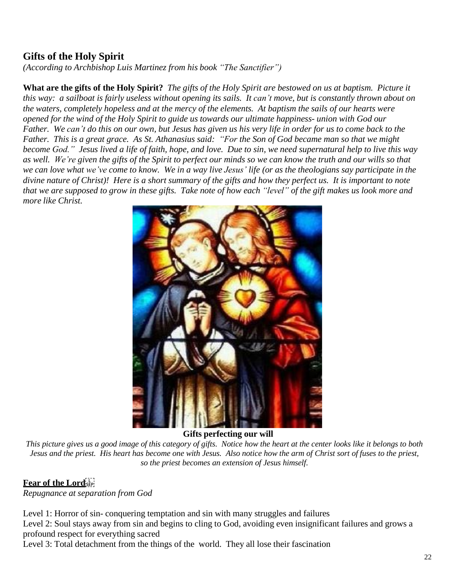#### **Gifts of the Holy Spirit**

*(According to Archbishop Luis Martinez from his book "The Sanctifier")*

**What are the gifts of the Holy Spirit?** The gifts of the Holy Spirit are bestowed on us at baptism. Picture it this way: a sailboat is fairly useless without opening its sails. It can't move, but is constantly thrown about on the waters, completely hopeless and at the mercy of the elements. At baptism the sails of our hearts were opened for the wind of the Holy Spirit to guide us towards our ultimate happiness- union with God our Father. We can't do this on our own, but Jesus has given us his very life in order for us to come back to the Father. This is a great grace. As St. Athanasius said: "For the Son of God became man so that we might become God." Jesus lived a life of faith, hope, and love. Due to sin, we need supernatural help to live this way as well. We're given the gifts of the Spirit to perfect our minds so we can know the truth and our wills so that we can love what we've come to know. We in a way live Jesus' life (or as the theologians say participate in the divine nature of Christ)! Here is a short summary of the gifts and how they perfect us. It is important to note that we are supposed to grow in these gifts. Take note of how each "level" of the gift makes us look more and *more like Christ.*



**Gifts perfecting our will**

This picture gives us a good image of this category of gifts. Notice how the heart at the center looks like it belongs to both Jesus and the priest. His heart has become one with Jesus. Also notice how the arm of Christ sort of fuses to the priest, *so the priest becomes an extension of Jesus himself.*

#### **Fear of the Lord**

*Repugnance at separation from God*

Level 1: Horror of sin- conquering temptation and sin with many struggles and failures Level 2: Soul stays away from sin and begins to cling to God, avoiding even insignificant failures and grows a profound respect for everything sacred

Level 3: Total detachment from the things of the world. They all lose their fascination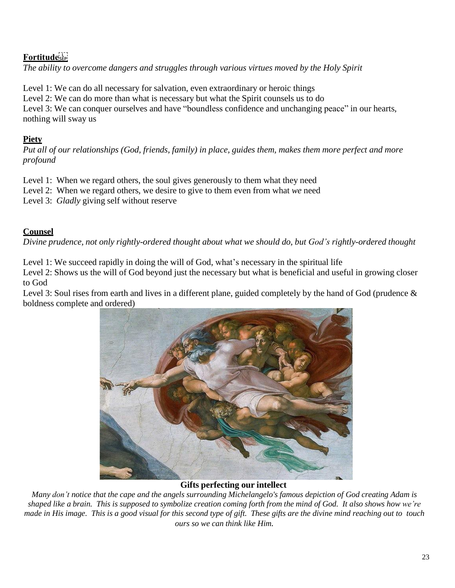#### **Fortitude**

*The ability to overcome dangers and struggles through various virtues moved by the Holy Spirit*

Level 1: We can do all necessary for salvation, even extraordinary or heroic things Level 2: We can do more than what is necessary but what the Spirit counsels us to do Level 3: We can conquer ourselves and have "boundless confidence and unchanging peace" in our hearts. nothing will sway us

#### **Piety**

Put all of our relationships (God, friends, family) in place, guides them, makes them more perfect and more *profound*

Level 1: When we regard others, the soul gives generously to them what they need

Level 2: When we regard others, we desire to give to them even from what *we* need

Level 3: *Gladly* giving self without reserve

#### **Counsel**

*Divine prudence, not only rightly-ordered thought about what we should do, but God's rightly-ordered thought*

Level 1: We succeed rapidly in doing the will of God, what's necessary in the spiritual life

Level 2: Shows us the will of God beyond just the necessary but what is beneficial and useful in growing closer to God

Level 3: Soul rises from earth and lives in a different plane, guided completely by the hand of God (prudence  $\&$ boldness complete and ordered)



#### **Gifts perfecting our intellect**

Many don't notice that the cape and the angels surrounding Michelangelo's famous depiction of God creating Adam is shaped like a brain. This is supposed to symbolize creation coming forth from the mind of God. It also shows how we're made in His image. This is a good visual for this second type of gift. These gifts are the divine mind reaching out to touch *ours so we can think like Him.*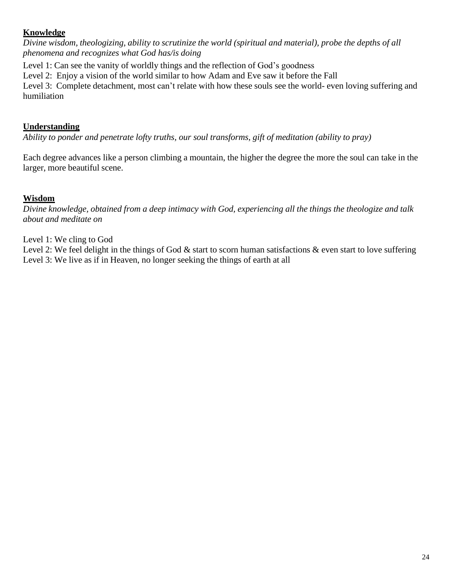#### **Knowledge**

*Divine wisdom, theologizing, ability to scrutinize the world (spiritual and material), probe the depths of all phenomena and recognizes what God has/is doing*

Level 1: Can see the vanity of worldly things and the reflection of God's goodness

Level 2: Enjoy a vision of the world similar to how Adam and Eve saw it before the Fall

Level 3: Complete detachment, most can't relate with how these souls see the world- even loving suffering and humiliation

#### **Understanding**

*Ability to ponder and penetrate lofty truths, our soul transforms, gift of meditation (ability to pray)*

Each degree advances like a person climbing a mountain, the higher the degree the more the soul can take in the larger, more beautiful scene.

#### **Wisdom**

Divine knowledge, obtained from a deep intimacy with God, experiencing all the things the theologize and talk *about and meditate on*

Level 1: We cling to God

Level 2: We feel delight in the things of God  $\&$  start to scorn human satisfactions  $\&$  even start to love suffering Level 3: We live as if in Heaven, no longer seeking the things of earth at all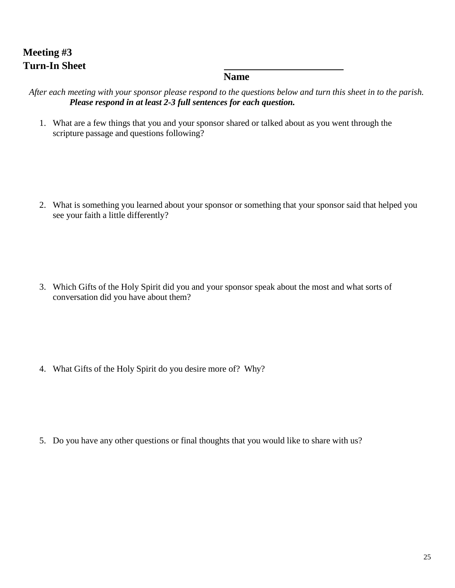### **Meeting #3 Turn-In Sheet**

#### **Name**

After each meeting with your sponsor please respond to the questions below and turn this sheet in to the parish. *Please respond in at least 2-3 full sentences for each question.*

1. What are a few things that you and your sponsor shared or talked about as you went through the scripture passage and questions following?

2. What is something you learned about your sponsor or something that your sponsor said that helped you see your faith a little differently?

3. Which Gifts of the Holy Spirit did you and your sponsor speak about the most and what sorts of conversation did you have about them?

4. What Gifts of the Holy Spirit do you desire more of? Why?

5. Do you have any other questions or final thoughts that you would like to share with us?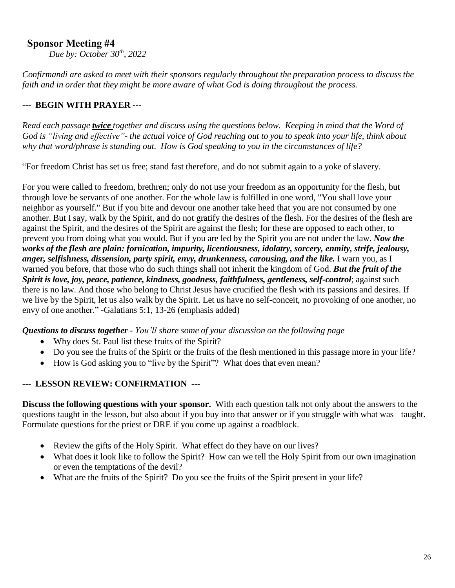#### **Sponsor Meeting #4**

*Due by: October 30th , 2022*

*Confirmandi are asked to meet with their sponsors regularly throughout the preparation process to discuss the faith and in order that they might be more aware of what God is doing throughout the process.*

#### **--- BEGIN WITH PRAYER ---**

Read each passage *twice* together and discuss using the questions below. Keeping in mind that the Word of God is "living and effective"- the actual voice of God reaching out to you to speak into your life, think about *why that word/phrase is standing out. How is God speaking to you in the circumstances of life?*

"For freedom Christ has set us free; stand fast therefore, and do not submit again to a yoke of slavery.

For you were called to freedom, brethren; only do not use your freedom as an opportunity for the flesh, but through love be servants of one another. For the whole law is fulfilled in one word, "You shall love your neighbor as yourself." But if you bite and devour one another take heed that you are not consumed by one another. But I say, walk by the Spirit, and do not gratify the desires of the flesh. For the desires of the flesh are against the Spirit, and the desires of the Spirit are against the flesh; for these are opposed to each other, to prevent you from doing what you would. But if you are led by the Spirit you are not under the law. *Now the works of the flesh are plain: fornication, impurity, licentiousness, idolatry, sorcery, enmity, strife, jealousy, anger, selfishness, dissension, party spirit, envy, drunkenness, carousing, and the like.* I warn you, as I warned you before, that those who do such things shall not inherit the kingdom of God. *But the fruit of the Spirit is love, joy, peace, patience, kindness, goodness, faithfulness, gentleness, self-control*; against such there is no law. And those who belong to Christ Jesus have crucified the flesh with its passions and desires. If we live by the Spirit, let us also walk by the Spirit. Let us have no self-conceit, no provoking of one another, no envy of one another." -Galatians 5:1, 13-26 (emphasis added)

#### *Questions to discuss together - You'll share some of your discussion on the following page*

- Why does St. Paul list these fruits of the Spirit?
- Do you see the fruits of the Spirit or the fruits of the flesh mentioned in this passage more in your life?
- How is God asking you to "live by the Spirit"? What does that even mean?

#### **--- LESSON REVIEW: CONFIRMATION ---**

**Discuss the following questions with your sponsor.** With each question talk not only about the answers to the questions taught in the lesson, but also about if you buy into that answer or if you struggle with what was taught. Formulate questions for the priest or DRE if you come up against a roadblock.

- Review the gifts of the Holy Spirit. What effect do they have on our lives?
- What does it look like to follow the Spirit? How can we tell the Holy Spirit from our own imagination or even the temptations of the devil?
- What are the fruits of the Spirit? Do you see the fruits of the Spirit present in your life?